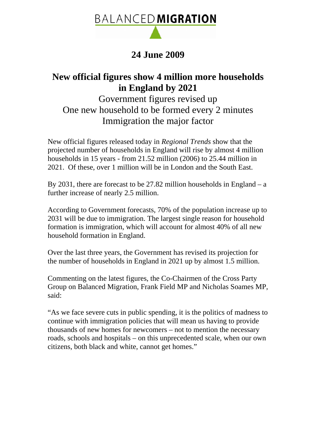

## **24 June 2009**

## **New official figures show 4 million more households in England by 2021**

Government figures revised up One new household to be formed every 2 minutes Immigration the major factor

New official figures released today in *Regional Trends* show that the projected number of households in England will rise by almost 4 million households in 15 years - from 21.52 million (2006) to 25.44 million in 2021. Of these, over 1 million will be in London and the South East.

By 2031, there are forecast to be 27.82 million households in England – a further increase of nearly 2.5 million.

According to Government forecasts, 70% of the population increase up to 2031 will be due to immigration. The largest single reason for household formation is immigration, which will account for almost 40% of all new household formation in England.

Over the last three years, the Government has revised its projection for the number of households in England in 2021 up by almost 1.5 million.

Commenting on the latest figures, the Co-Chairmen of the Cross Party Group on Balanced Migration, Frank Field MP and Nicholas Soames MP, said:

"As we face severe cuts in public spending, it is the politics of madness to continue with immigration policies that will mean us having to provide thousands of new homes for newcomers – not to mention the necessary roads, schools and hospitals – on this unprecedented scale, when our own citizens, both black and white, cannot get homes."